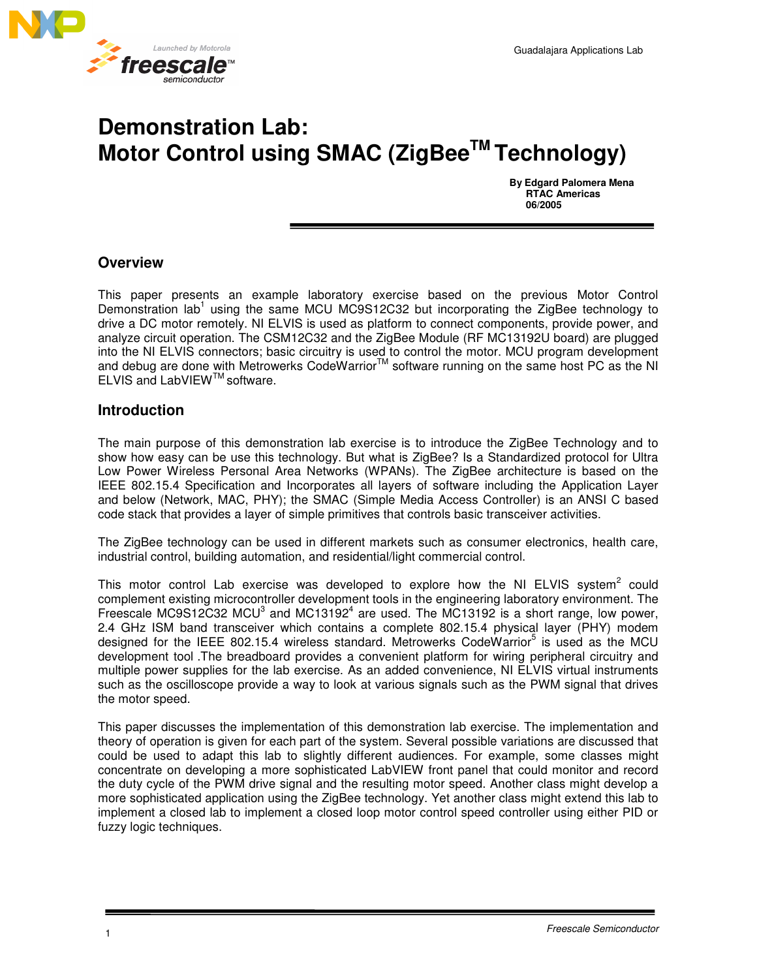

# **Demonstration Lab: Motor Control using SMAC (ZigBeeTM Technology)**

 **By Edgard Palomera Mena RTAC Americas 06/2005** 

## **Overview**

This paper presents an example laboratory exercise based on the previous Motor Control Demonstration lab<sup>1</sup> using the same MCU MC9S12C32 but incorporating the ZigBee technology to drive a DC motor remotely. NI ELVIS is used as platform to connect components, provide power, and analyze circuit operation. The CSM12C32 and the ZigBee Module (RF MC13192U board) are plugged into the NI ELVIS connectors; basic circuitry is used to control the motor. MCU program development and debug are done with Metrowerks CodeWarrior<sup>™</sup> software running on the same host PC as the NI ELVIS and LabVIEWTM software.

### **Introduction**

The main purpose of this demonstration lab exercise is to introduce the ZigBee Technology and to show how easy can be use this technology. But what is ZigBee? Is a Standardized protocol for Ultra Low Power Wireless Personal Area Networks (WPANs). The ZigBee architecture is based on the IEEE 802.15.4 Specification and Incorporates all layers of software including the Application Layer and below (Network, MAC, PHY); the SMAC (Simple Media Access Controller) is an ANSI C based code stack that provides a layer of simple primitives that controls basic transceiver activities.

The ZigBee technology can be used in different markets such as consumer electronics, health care, industrial control, building automation, and residential/light commercial control.

This motor control Lab exercise was developed to explore how the NI ELVIS system<sup>2</sup> could complement existing microcontroller development tools in the engineering laboratory environment. The Freescale MC9S12C32 MCU<sup>3</sup> and MC13192<sup>4</sup> are used. The MC13192 is a short range, low power, 2.4 GHz ISM band transceiver which contains a complete 802.15.4 physical layer (PHY) modem designed for the IEEE 802.15.4 wireless standard. Metrowerks CodeWarrior<sup>5</sup> is used as the MCU development tool .The breadboard provides a convenient platform for wiring peripheral circuitry and multiple power supplies for the lab exercise. As an added convenience, NI ELVIS virtual instruments such as the oscilloscope provide a way to look at various signals such as the PWM signal that drives the motor speed.

This paper discusses the implementation of this demonstration lab exercise. The implementation and theory of operation is given for each part of the system. Several possible variations are discussed that could be used to adapt this lab to slightly different audiences. For example, some classes might concentrate on developing a more sophisticated LabVIEW front panel that could monitor and record the duty cycle of the PWM drive signal and the resulting motor speed. Another class might develop a more sophisticated application using the ZigBee technology. Yet another class might extend this lab to implement a closed lab to implement a closed loop motor control speed controller using either PID or fuzzy logic techniques.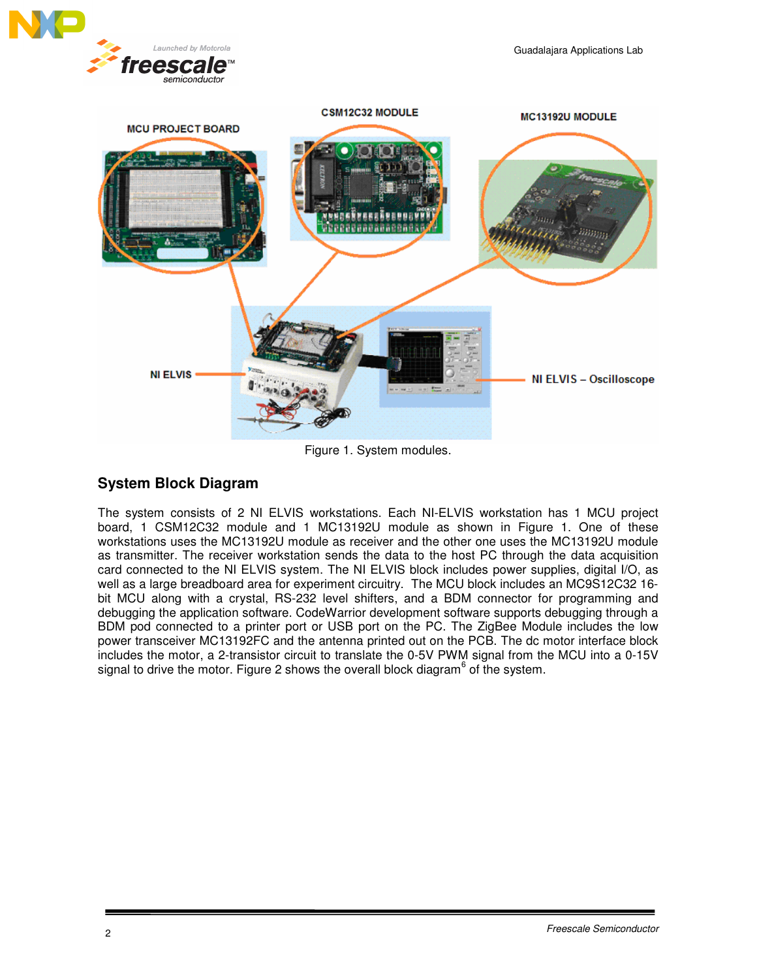



Figure 1. System modules.

## **System Block Diagram**

The system consists of 2 NI ELVIS workstations. Each NI-ELVIS workstation has 1 MCU project board, 1 CSM12C32 module and 1 MC13192U module as shown in Figure 1. One of these workstations uses the MC13192U module as receiver and the other one uses the MC13192U module as transmitter. The receiver workstation sends the data to the host PC through the data acquisition card connected to the NI ELVIS system. The NI ELVIS block includes power supplies, digital I/O, as well as a large breadboard area for experiment circuitry. The MCU block includes an MC9S12C32 16 bit MCU along with a crystal, RS-232 level shifters, and a BDM connector for programming and debugging the application software. CodeWarrior development software supports debugging through a BDM pod connected to a printer port or USB port on the PC. The ZigBee Module includes the low power transceiver MC13192FC and the antenna printed out on the PCB. The dc motor interface block includes the motor, a 2-transistor circuit to translate the 0-5V PWM signal from the MCU into a 0-15V signal to drive the motor. Figure 2 shows the overall block diagram<sup>6</sup> of the system.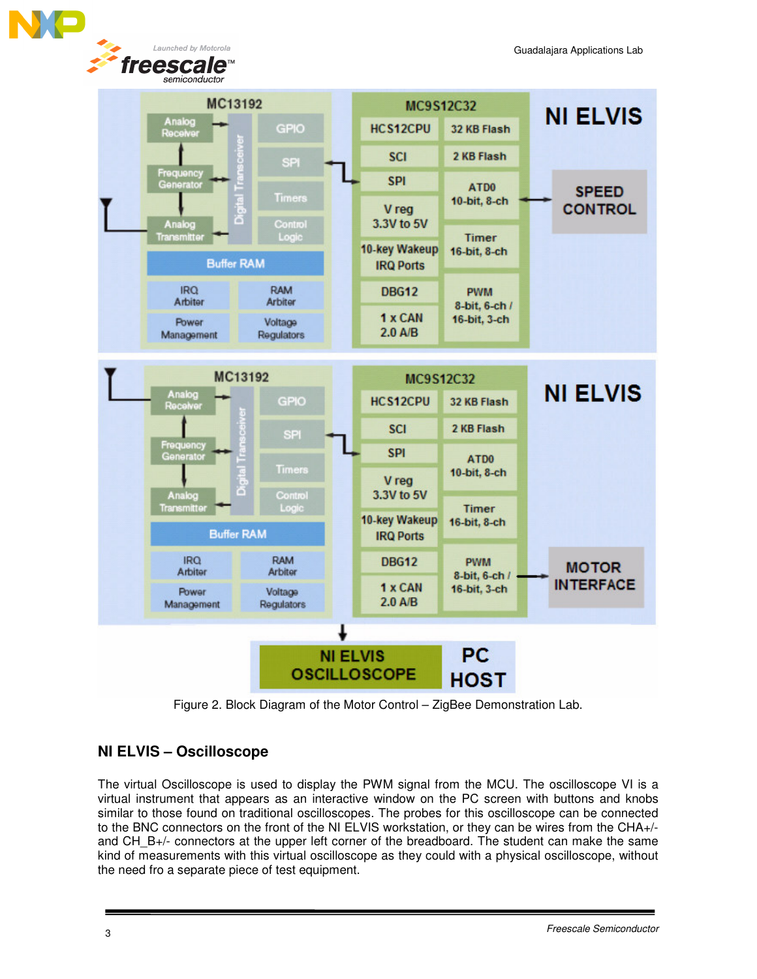Launched by Motorola freescal e



Figure 2. Block Diagram of the Motor Control – ZigBee Demonstration Lab.

## **NI ELVIS – Oscilloscope**

The virtual Oscilloscope is used to display the PWM signal from the MCU. The oscilloscope VI is a virtual instrument that appears as an interactive window on the PC screen with buttons and knobs similar to those found on traditional oscilloscopes. The probes for this oscilloscope can be connected to the BNC connectors on the front of the NI ELVIS workstation, or they can be wires from the CHA+/ and CH B+/- connectors at the upper left corner of the breadboard. The student can make the same kind of measurements with this virtual oscilloscope as they could with a physical oscilloscope, without the need fro a separate piece of test equipment.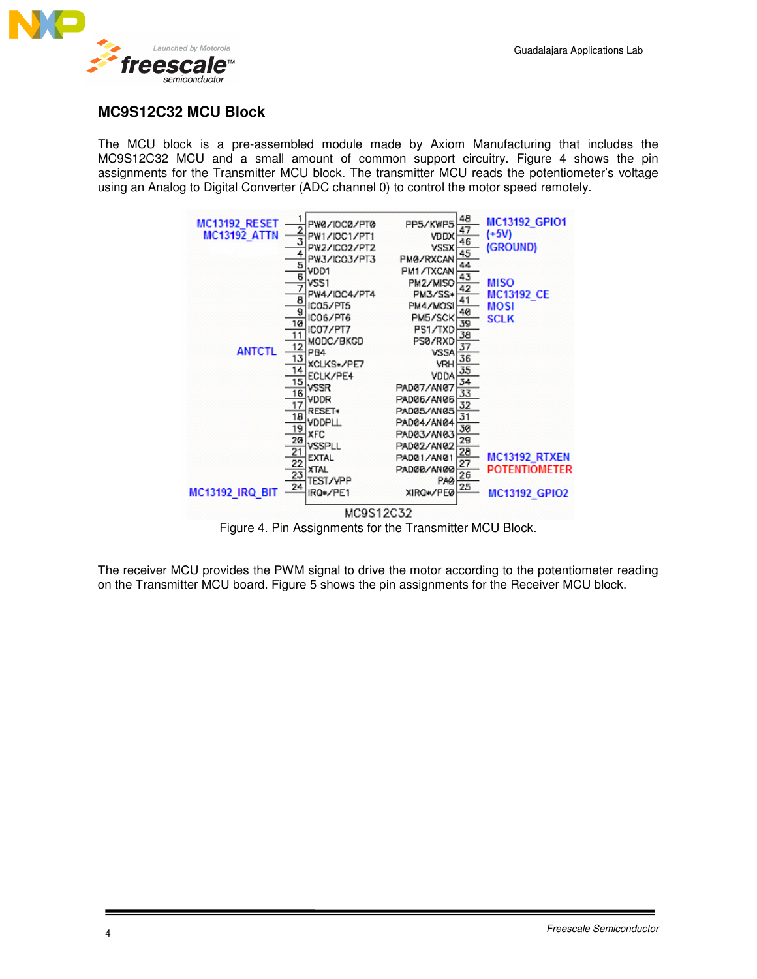

## **MC9S12C32 MCU Block**

The MCU block is a pre-assembled module made by Axiom Manufacturing that includes the MC9S12C32 MCU and a small amount of common support circuitry. Figure 4 shows the pin assignments for the Transmitter MCU block. The transmitter MCU reads the potentiometer's voltage using an Analog to Digital Converter (ADC channel 0) to control the motor speed remotely.



Figure 4. Pin Assignments for the Transmitter MCU Block.

The receiver MCU provides the PWM signal to drive the motor according to the potentiometer reading on the Transmitter MCU board. Figure 5 shows the pin assignments for the Receiver MCU block.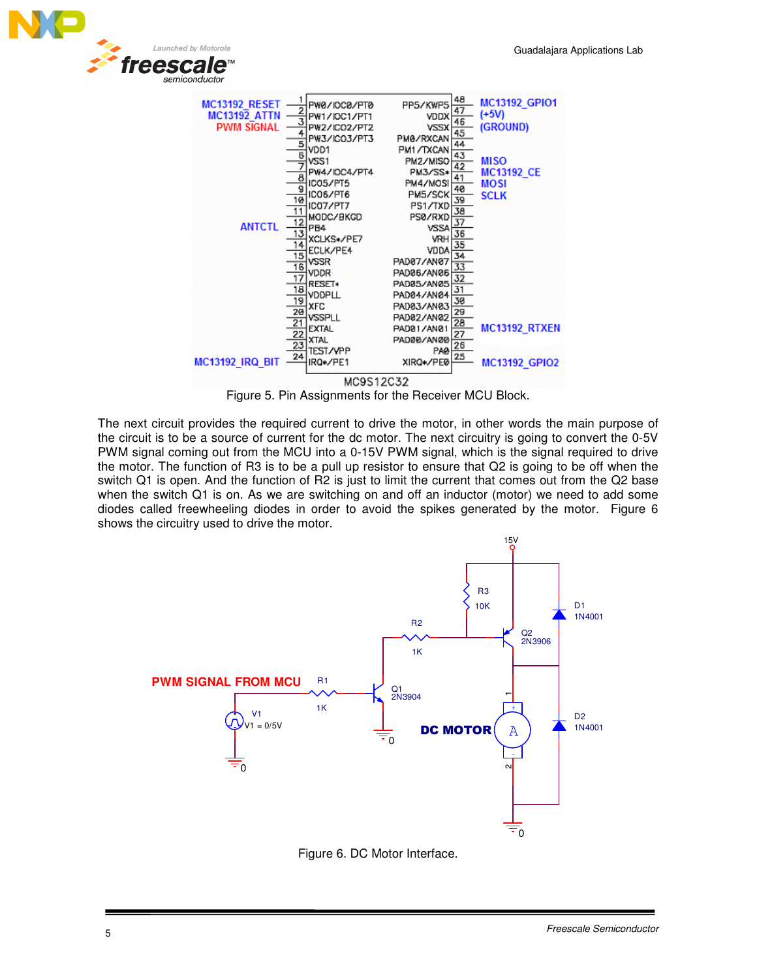



Figure 5. Pin Assignments for the Receiver MCU Block.

The next circuit provides the required current to drive the motor, in other words the main purpose of the circuit is to be a source of current for the dc motor. The next circuitry is going to convert the 0-5V PWM signal coming out from the MCU into a 0-15V PWM signal, which is the signal required to drive the motor. The function of R3 is to be a pull up resistor to ensure that Q2 is going to be off when the switch Q1 is open. And the function of R2 is just to limit the current that comes out from the Q2 base when the switch Q1 is on. As we are switching on and off an inductor (motor) we need to add some diodes called freewheeling diodes in order to avoid the spikes generated by the motor. Figure 6 shows the circuitry used to drive the motor.



Figure 6. DC Motor Interface.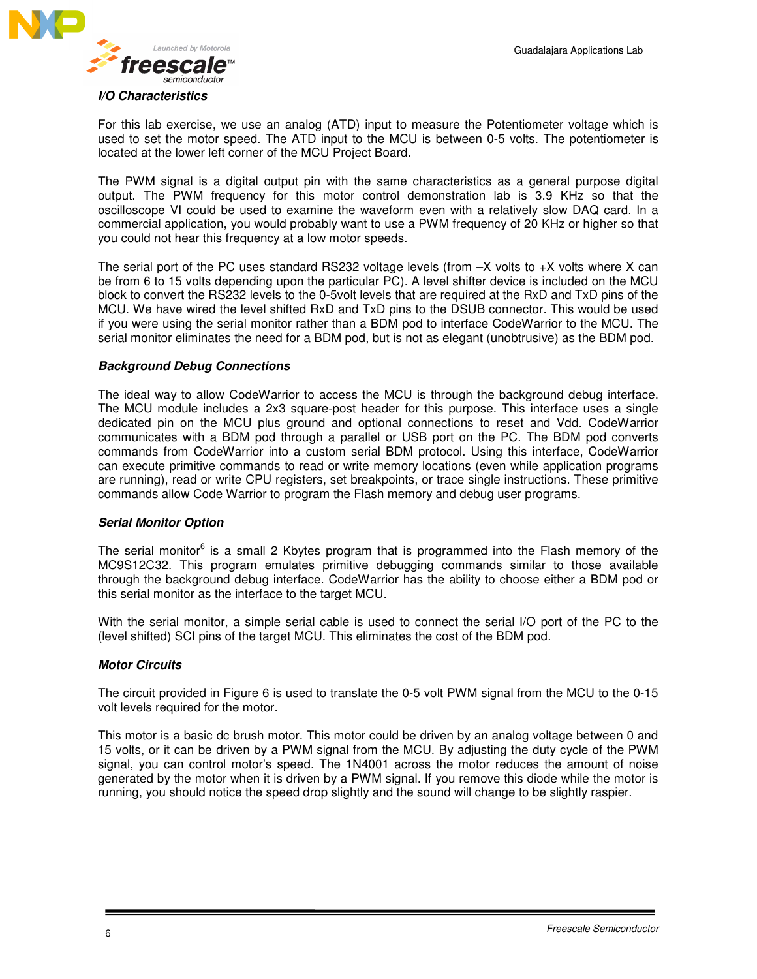

#### *I/O Characteristics*

For this lab exercise, we use an analog (ATD) input to measure the Potentiometer voltage which is used to set the motor speed. The ATD input to the MCU is between 0-5 volts. The potentiometer is located at the lower left corner of the MCU Project Board.

The PWM signal is a digital output pin with the same characteristics as a general purpose digital output. The PWM frequency for this motor control demonstration lab is 3.9 KHz so that the oscilloscope VI could be used to examine the waveform even with a relatively slow DAQ card. In a commercial application, you would probably want to use a PWM frequency of 20 KHz or higher so that you could not hear this frequency at a low motor speeds.

The serial port of the PC uses standard RS232 voltage levels (from  $-X$  volts to  $+X$  volts where X can be from 6 to 15 volts depending upon the particular PC). A level shifter device is included on the MCU block to convert the RS232 levels to the 0-5volt levels that are required at the RxD and TxD pins of the MCU. We have wired the level shifted RxD and TxD pins to the DSUB connector. This would be used if you were using the serial monitor rather than a BDM pod to interface CodeWarrior to the MCU. The serial monitor eliminates the need for a BDM pod, but is not as elegant (unobtrusive) as the BDM pod.

#### *Background Debug Connections*

The ideal way to allow CodeWarrior to access the MCU is through the background debug interface. The MCU module includes a 2x3 square-post header for this purpose. This interface uses a single dedicated pin on the MCU plus ground and optional connections to reset and Vdd. CodeWarrior communicates with a BDM pod through a parallel or USB port on the PC. The BDM pod converts commands from CodeWarrior into a custom serial BDM protocol. Using this interface, CodeWarrior can execute primitive commands to read or write memory locations (even while application programs are running), read or write CPU registers, set breakpoints, or trace single instructions. These primitive commands allow Code Warrior to program the Flash memory and debug user programs.

#### *Serial Monitor Option*

The serial monitor<sup>6</sup> is a small 2 Kbytes program that is programmed into the Flash memory of the MC9S12C32. This program emulates primitive debugging commands similar to those available through the background debug interface. CodeWarrior has the ability to choose either a BDM pod or this serial monitor as the interface to the target MCU.

With the serial monitor, a simple serial cable is used to connect the serial I/O port of the PC to the (level shifted) SCI pins of the target MCU. This eliminates the cost of the BDM pod.

#### *Motor Circuits*

The circuit provided in Figure 6 is used to translate the 0-5 volt PWM signal from the MCU to the 0-15 volt levels required for the motor.

This motor is a basic dc brush motor. This motor could be driven by an analog voltage between 0 and 15 volts, or it can be driven by a PWM signal from the MCU. By adjusting the duty cycle of the PWM signal, you can control motor's speed. The 1N4001 across the motor reduces the amount of noise generated by the motor when it is driven by a PWM signal. If you remove this diode while the motor is running, you should notice the speed drop slightly and the sound will change to be slightly raspier.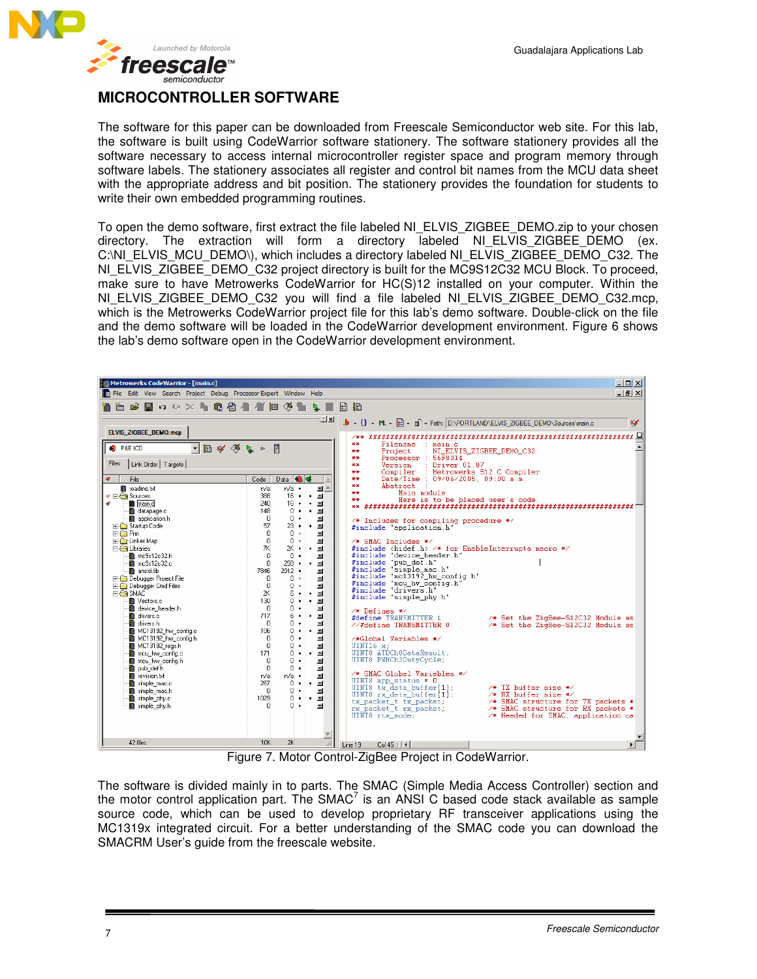

## **MICROCONTROLLER SOFTWARE**

The software for this paper can be downloaded from Freescale Semiconductor web site. For this lab, the software is built using CodeWarrior software stationery. The software stationery provides all the software necessary to access internal microcontroller register space and program memory through software labels. The stationery associates all register and control bit names from the MCU data sheet with the appropriate address and bit position. The stationery provides the foundation for students to write their own embedded programming routines.

To open the demo software, first extract the file labeled NI\_ELVIS\_ZIGBEE\_DEMO.zip to your chosen directory. The extraction will form a directory labeled NI\_ELVIS\_ZIGBEE\_DEMO (ex. C:\NI\_ELVIS\_MCU\_DEMO\), which includes a directory labeled NI\_ELVIS\_ZIGBEE\_DEMO\_C32. The NI\_ELVIS\_ZIGBEE\_DEMO\_C32 project directory is built for the MC9S12C32 MCU Block. To proceed, make sure to have Metrowerks CodeWarrior for HC(S)12 installed on your computer. Within the NI\_ELVIS\_ZIGBEE\_DEMO\_C32 you will find a file labeled NI\_ELVIS\_ZIGBEE\_DEMO\_C32.mcp, which is the Metrowerks CodeWarrior project file for this lab's demo software. Double-click on the file and the demo software will be loaded in the CodeWarrior development environment. Figure 6 shows the lab's demo software open in the CodeWarrior development environment.

| Metrowerks CodeWarrior - [main.c]                                                                                                   | $ \Box$ $\times$                                                                                                                                                                                                                                                                       |
|-------------------------------------------------------------------------------------------------------------------------------------|----------------------------------------------------------------------------------------------------------------------------------------------------------------------------------------------------------------------------------------------------------------------------------------|
| File Edit View Search Project Debug Processor Expert Window Help                                                                    | $  d $ $\times$                                                                                                                                                                                                                                                                        |
| <b>B . 0 % % &amp; &amp; 4 1 8 4 &amp; L</b><br>TA ME                                                                               | 日記                                                                                                                                                                                                                                                                                     |
|                                                                                                                                     |                                                                                                                                                                                                                                                                                        |
|                                                                                                                                     | $\exists \mathbb{Z}[\mathbf{X}]$ $\ \cdot\ $ $\cdot\ $ $\cdot\ $ $\cdot\ $ $\cdot\ $ $\cdot\ $ $\cdot\ $ $\cdot\ $ $\cdot\ $ $\cdot\ $ $\cdot\ $ $\cdot\ $ $\cdot\ $ $\cdot\ $ $\cdot\ $ $\cdot\ $ $\cdot\ $ $\cdot\ $ $\cdot\ $ $\cdot\ $ $\cdot\ $ $\cdot\ $ $\cdot$<br>$\checkmark$ |
| <b>ELVIS ZIGBEE DEMO.mcp</b>                                                                                                        |                                                                                                                                                                                                                                                                                        |
| → 個々多い→<br>唐<br><b>O</b> P&E ICD                                                                                                    | Filename : main.c<br>$**$                                                                                                                                                                                                                                                              |
|                                                                                                                                     | Project : NI ELVIS ZIGBEE DEMO C32<br>**<br>Processor : 56F8014<br>**                                                                                                                                                                                                                  |
| Files   Link Order   Targets                                                                                                        | Version : Driver 01.07<br>**                                                                                                                                                                                                                                                           |
|                                                                                                                                     | Compiler : Metrowerks S12 C Compiler<br>$**$                                                                                                                                                                                                                                           |
| Data <b>0</b><br>$\checkmark$<br>File<br>Code                                                                                       | Date/Time : 09/06/2005. 09:00 a.m.<br>**<br>**<br>Abstract :                                                                                                                                                                                                                           |
| <b>n</b> readme.bt<br>$n/a$ $\cdot$<br>$= -$<br>n/a<br>$16 \cdot \cdot \cdot$<br>388<br>$\Psi \boxminus \bigoplus$ Sources          | Main module.<br>**                                                                                                                                                                                                                                                                     |
| $16 \cdot \cdot \cdot$<br>$\mathbf{v}$<br>main.cl<br>240                                                                            | Here is to be placed user's code.<br>$**$                                                                                                                                                                                                                                              |
| $0 \cdot \cdot \cdot$ $\blacksquare$<br>datapage.c<br>148                                                                           |                                                                                                                                                                                                                                                                                        |
| $n \cdot$<br>application.h<br>$\Omega$<br>$\blacksquare$<br>23 • • 国<br>57<br><b>El Startup Code</b>                                | $/*$ Includes for compiling procedure */                                                                                                                                                                                                                                               |
| $\mathbf{0}$<br>$\mathbf{0}$ $\cdot$<br><b>E-B</b> Pm<br>$\equiv$                                                                   | #include "application.h"                                                                                                                                                                                                                                                               |
| $\Omega$<br>n +<br><b>FI-B Linker Map</b><br>$\equiv$                                                                               | $/*$ SMAC Includes $*/$                                                                                                                                                                                                                                                                |
| 7K<br><b>E</b> Libraries<br>2K • • 国<br>$\Omega$<br>$0 -$<br>$\mathbf{m}$                                                           | #include <hidef.h> /* for EnableInterrupts macro */<br/>#include "device_header.h"</hidef.h>                                                                                                                                                                                           |
| $\blacksquare$ mc9s12c32.h<br>$\Omega$<br>mc9s12c32.c<br>$259$ $\bullet$ $\bullet$ $\blacksquare$                                   |                                                                                                                                                                                                                                                                                        |
| ansisi.lib<br>7846<br>$2012 -$<br>$\equiv$                                                                                          | #include "pub_def.h"<br>#include "pub_def.h"<br>#include "simple_mac.h"<br>#include "mc13192_hw_config.h"                                                                                                                                                                              |
| <b>E-C</b> Debugger Project File<br>$\Omega$<br>$0 +$<br>$\blacksquare$                                                             | #include "mou hw config.h"                                                                                                                                                                                                                                                             |
| $\Omega$<br>$\mathbf{0}$ $\mathbf{0}$<br><b>FI-GI Debugger Cmd Files</b><br>$\equiv$<br>2K<br>$6 \cdot \cdot$ =<br><b>E-GRISMAC</b> | #include "drivers h"                                                                                                                                                                                                                                                                   |
| $0 \cdot \cdot =$<br>Vectors.c<br>130                                                                                               | #include "simple phy.h"                                                                                                                                                                                                                                                                |
| $0 -$<br>device header.h<br>$\Omega$<br>$\mathbf{m}$                                                                                | $/*$ Defines $*/$                                                                                                                                                                                                                                                                      |
| 6 • • M<br>drivers.c<br>717                                                                                                         | #define TRANSMITTER 1<br>/* Set the ZigBee-S12C32 Module as                                                                                                                                                                                                                            |
| ∩ •<br>drivers.h<br>$\Omega$<br>$\blacksquare$<br>$0 \cdot \cdot$ =<br>MC13192 hw config.c<br>106                                   | //#define TRANSMITTER 0<br>/* Set the ZigBee-S12C32 Module as                                                                                                                                                                                                                          |
| n . i<br>MC13192 hw config.h<br>$\Omega$<br>$\blacksquare$                                                                          | /*Global Variables */                                                                                                                                                                                                                                                                  |
| $\Omega$<br>$\mathbf{a}$<br>MC13192_regs.h<br>$\blacksquare$                                                                        | UINT16 x:                                                                                                                                                                                                                                                                              |
| $0 \cdot \cdot =$<br>mcu hw config.c<br>171<br>∩ ∙<br>mcu hw config.h<br>$\Omega$                                                   | UINT8 ATDCh0DataResult:<br>UINT8 PWMCh2DutvCvcle:                                                                                                                                                                                                                                      |
| $\blacksquare$<br>$\Omega$<br>∩ ∙<br>pub def.h<br>$\blacksquare$                                                                    |                                                                                                                                                                                                                                                                                        |
| revision.txt<br>$n/a$ $\cdot$<br>$\blacksquare$<br>n/a                                                                              | /* SMAC Global Variables */                                                                                                                                                                                                                                                            |
| $0 \cdot \cdot \cdot$<br>267<br>simple mac.c                                                                                        | UINT8 app status = $0$ ;<br>UINT8 tx data_buffer[1];<br>$/*$ TX buffer size $*/$                                                                                                                                                                                                       |
| $0 \cdot$<br>simple_mac.h<br>$\mathbf{0}$<br>$\equiv$<br>$0 \cdot \cdot \blacksquare$<br>simple_phy.c<br>1029                       | UINT8 $rx$ data buffer[1];<br>$/*$ RX buffer size */                                                                                                                                                                                                                                   |
| $\overline{\phantom{a}}$<br>simple phy.h<br>n<br>$\blacksquare$                                                                     | /* SMAC structure for TX packets *<br>tx_packet_t tx_packet;<br>rx_packet_t rx_packet;<br>/* SMAC structure for RX packets *                                                                                                                                                           |
|                                                                                                                                     | /* Needed for SMAC, application ca<br>UINT8 rtx mode:                                                                                                                                                                                                                                  |
|                                                                                                                                     |                                                                                                                                                                                                                                                                                        |
|                                                                                                                                     |                                                                                                                                                                                                                                                                                        |
| 42 files<br>10K<br>2K                                                                                                               | Line 19<br>$Col45$   $\vert \cdot \vert$                                                                                                                                                                                                                                               |

Figure 7. Motor Control-ZigBee Project in CodeWarrior.

The software is divided mainly in to parts. The SMAC (Simple Media Access Controller) section and the motor control application part. The SMAC<sup>7</sup> is an ANSI C based code stack available as sample source code, which can be used to develop proprietary RF transceiver applications using the MC1319x integrated circuit. For a better understanding of the SMAC code you can download the SMACRM User's guide from the freescale website.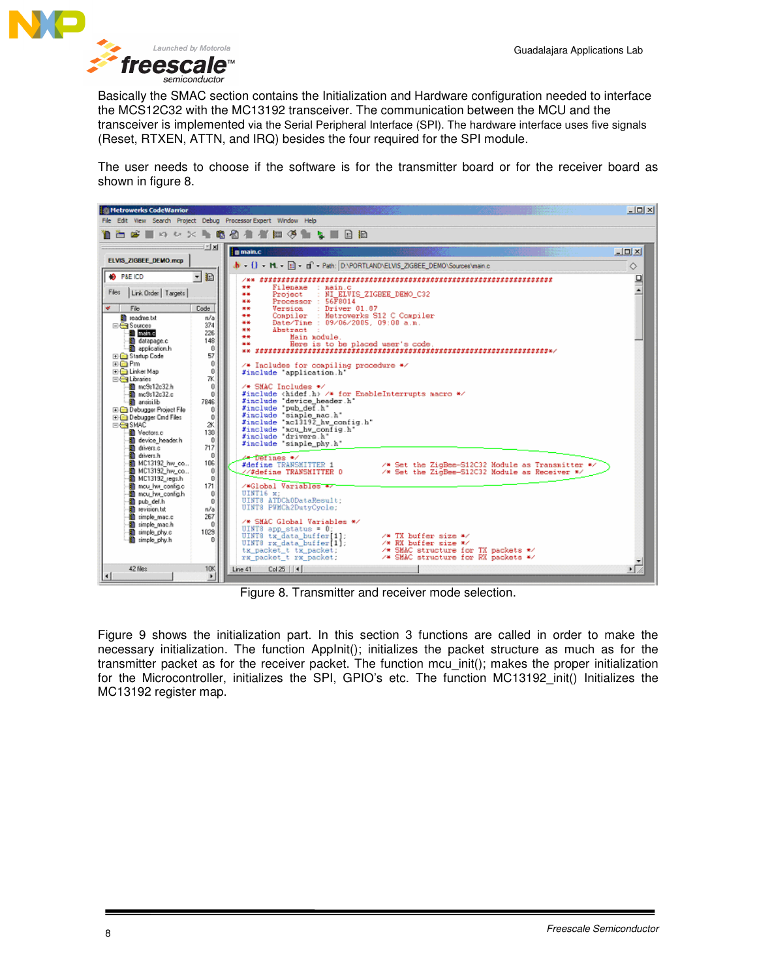

Basically the SMAC section contains the Initialization and Hardware configuration needed to interface the MCS12C32 with the MC13192 transceiver. The communication between the MCU and the transceiver is implemented via the Serial Peripheral Interface (SPI). The hardware interface uses five signals (Reset, RTXEN, ATTN, and IRQ) besides the four required for the SPI module.

The user needs to choose if the software is for the transmitter board or for the receiver board as shown in figure 8.



Figure 8. Transmitter and receiver mode selection.

Figure 9 shows the initialization part. In this section 3 functions are called in order to make the necessary initialization. The function AppInit(); initializes the packet structure as much as for the transmitter packet as for the receiver packet. The function mcu\_init(); makes the proper initialization for the Microcontroller, initializes the SPI, GPIO's etc. The function MC13192 init() Initializes the MC13192 register map.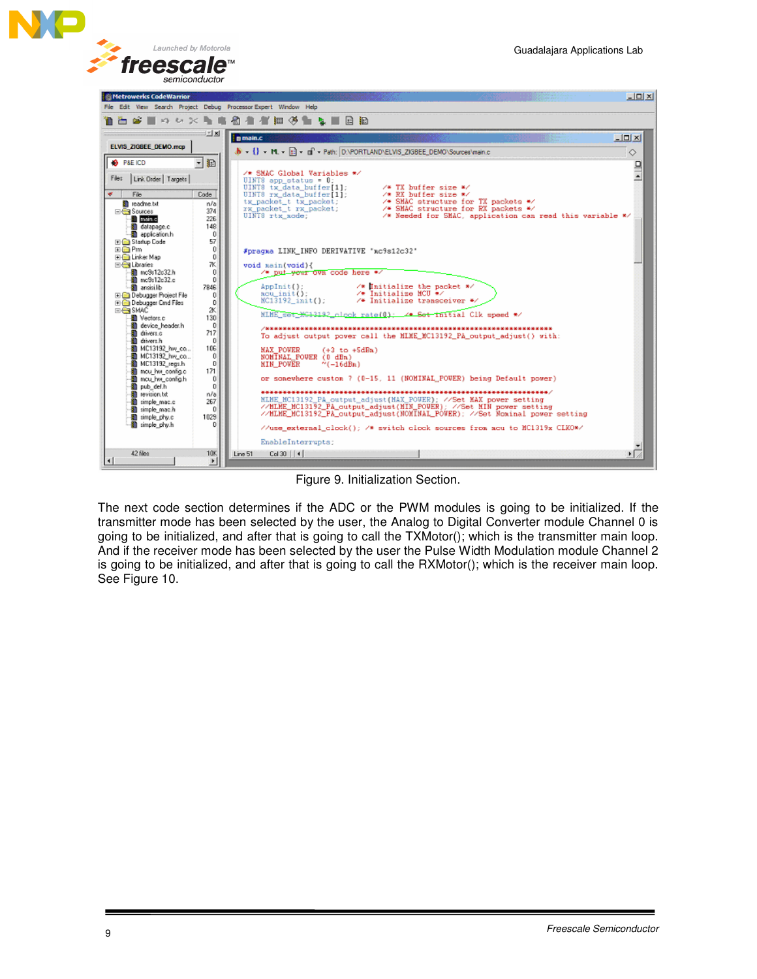

| Metrowerks CodeWarrior                                 |                               |                                                                                                                                            | $\Box$ ol $\times$ |
|--------------------------------------------------------|-------------------------------|--------------------------------------------------------------------------------------------------------------------------------------------|--------------------|
|                                                        |                               | File Edit View Search Project Debug Processor-Expert Window Help                                                                           |                    |
|                                                        |                               | 自由 は ■ り い ※ を 自 引 者 者 如 多 色 な ■ 日 拍                                                                                                       |                    |
|                                                        | 32 X                          | <b>D</b> main.c                                                                                                                            | $  D $ $\times$    |
| <b>ELVIS ZIGBEE DEMO.mcp</b>                           |                               | $\mathbf{b} = \{ \} - \mathbf{M} - \mathbf{H} - \mathbf{H} - \mathbf{d} - \mathbf{r} \}$ Path: DNPORTLAND\ELVIS_ZIGBEE_DEMO\Sources\main.c | $\Diamond$         |
| <b>B</b> P&E ICD                                       | $\overline{\phantom{a}}$<br>Ð |                                                                                                                                            |                    |
| Link Order   Targets  <br>Files                        |                               | /* SMAC Global Variables */<br>UINT8 app status = $0$ :                                                                                    | $\frac{1}{2}$      |
| $\mathcal{C}$                                          | Code                          | UINT8 tx data buffer[1];<br>$\sqrt{*}$ TX buffer size $\sqrt{*}$<br>$\sqrt{\pi}$ RX buffer size $\pi$ /                                    |                    |
| File                                                   |                               | UINT8 rx data_buffer[1];<br>/* SMAC structure for TX packets */                                                                            |                    |
| <sup>St</sup> readme.txt<br><b>⊟ Sources</b>           | n/al<br>374                   | tx_packet_t tx_packet;<br>rx_packet_t rx_packet;<br>/* SMAC structure for RX packets */                                                    |                    |
| <b>Indino</b>                                          | 226                           | UINT8 rtx mode:<br>/* Needed for SMAC, application can read this variable */                                                               |                    |
| datapage.c                                             | 148                           |                                                                                                                                            |                    |
| application.h                                          | Ũ                             |                                                                                                                                            |                    |
| Startup Code                                           | 57                            |                                                                                                                                            |                    |
| 田田 Pm<br><b>E-F-</b> Linker Map                        | $\theta$<br>0                 | #pragma LINK_INFO DERIVATIVE "mc9s12c32"                                                                                                   |                    |
| <b>El-SiLibraries</b>                                  | 7K                            | void main(void){                                                                                                                           |                    |
| 图 mc9s12c32.h                                          | ũ                             | /* put your own code here */                                                                                                               |                    |
| mc9s12c32.c                                            | 0                             |                                                                                                                                            |                    |
| ansisilb                                               | 7846                          | $\sqrt{\ast}$ Initialize the packet $\sqrt{\ast}$<br>AppInit();<br>/* Initialize MCU */<br>mcu init():                                     |                    |
| El-Cit Debugger Project File<br>E-B Debugger Cmd Files | $\alpha$<br>$\mathbf{0}$      | /* Initialize transceiver */<br>NC13192 init();                                                                                            |                    |
| <b>EIGHTSMAC</b>                                       | ZК                            |                                                                                                                                            |                    |
| <b>Ill</b> Vectors.c                                   | 130                           | MLME 88t #613192 clock rate(0) 4 Set initial Cik speed */                                                                                  |                    |
| 图 device header.h                                      | $\theta$                      |                                                                                                                                            |                    |
| an drivers.c                                           | 717                           | To adjust output power call the MLME MC13192 PA output adjust() with:                                                                      |                    |
| <b>R</b> drivers h<br>MC13192 hw co                    | 0<br>106                      |                                                                                                                                            |                    |
| MC13192 hw co                                          | $\theta$                      | <b>MAX POWER</b><br>$(+3$ to $+5dBu$ )<br>NOMINAL POUER (0 dBn)                                                                            |                    |
| 图 MC13192 regs.h                                       | 0                             | <b>MIN POWER</b><br>$^{\circ}$ (-16dBn)                                                                                                    |                    |
| mou hw config.c                                        | 171                           |                                                                                                                                            |                    |
| mou hw config.h                                        | O                             | or sonewhere custom 7 (0-15, 11 (NOMINAL POWER) being Default power)                                                                       |                    |
| pub def.h<br><b>B</b> revision bt                      | 0<br>n/a                      |                                                                                                                                            |                    |
| a simple mac.c                                         | 267                           | MLHE MC13192 PA output adjust (MAX POWER); //Set MAX power setting                                                                         |                    |
| a simple mac.h                                         | $\mathbf{0}$                  | //MINE_MC13192_PA_output_adjust(MIN_POVER); //Set MIN power setting                                                                        |                    |
| a simple phy.c                                         | 1029                          | //HLME MC13192 PA output adjust(NOMINAL POWER): //Set Nominal power setting                                                                |                    |
| simple_phy.h                                           | 0                             | //use_external_clock(); /* switch clock sources from acu to MC1319x CLKO*/                                                                 |                    |
|                                                        |                               | EnableInterrupts:                                                                                                                          |                    |
| 42 files                                               | <b>10K</b>                    | $Col30$ $ 4 $<br>Line 51                                                                                                                   |                    |
|                                                        | $\mathbf{F}$                  |                                                                                                                                            |                    |

#### Figure 9. Initialization Section.

The next code section determines if the ADC or the PWM modules is going to be initialized. If the transmitter mode has been selected by the user, the Analog to Digital Converter module Channel 0 is going to be initialized, and after that is going to call the TXMotor(); which is the transmitter main loop. And if the receiver mode has been selected by the user the Pulse Width Modulation module Channel 2 is going to be initialized, and after that is going to call the RXMotor(); which is the receiver main loop. See Figure 10.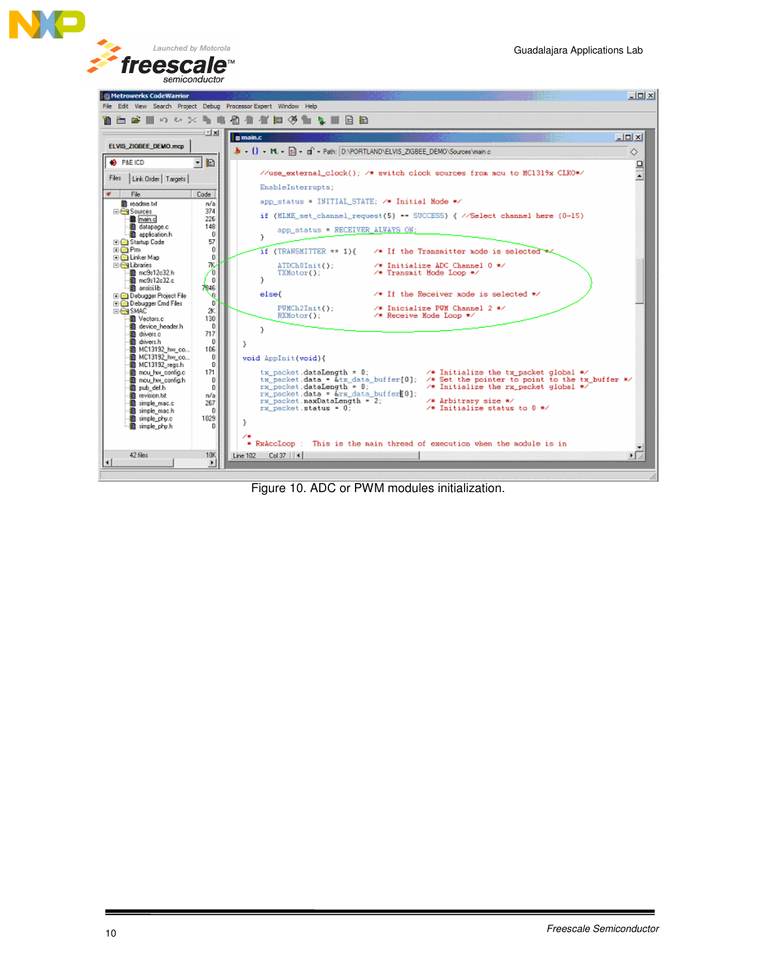



Figure 10. ADC or PWM modules initialization.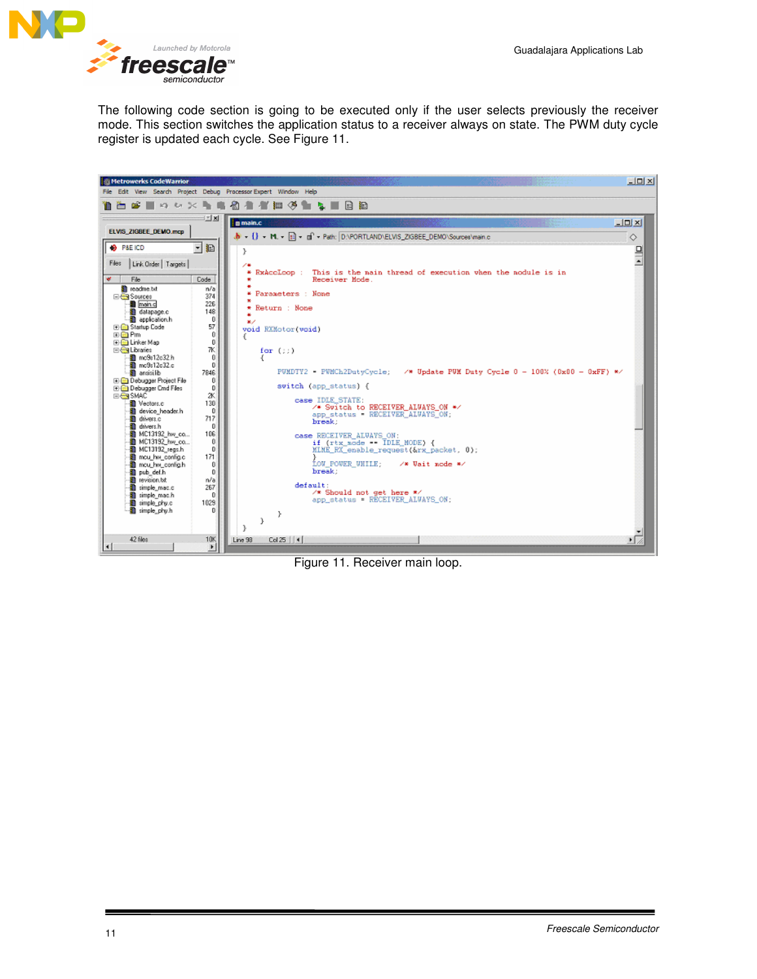

The following code section is going to be executed only if the user selects previously the receiver mode. This section switches the application status to a receiver always on state. The PWM duty cycle register is updated each cycle. See Figure 11.



Figure 11. Receiver main loop.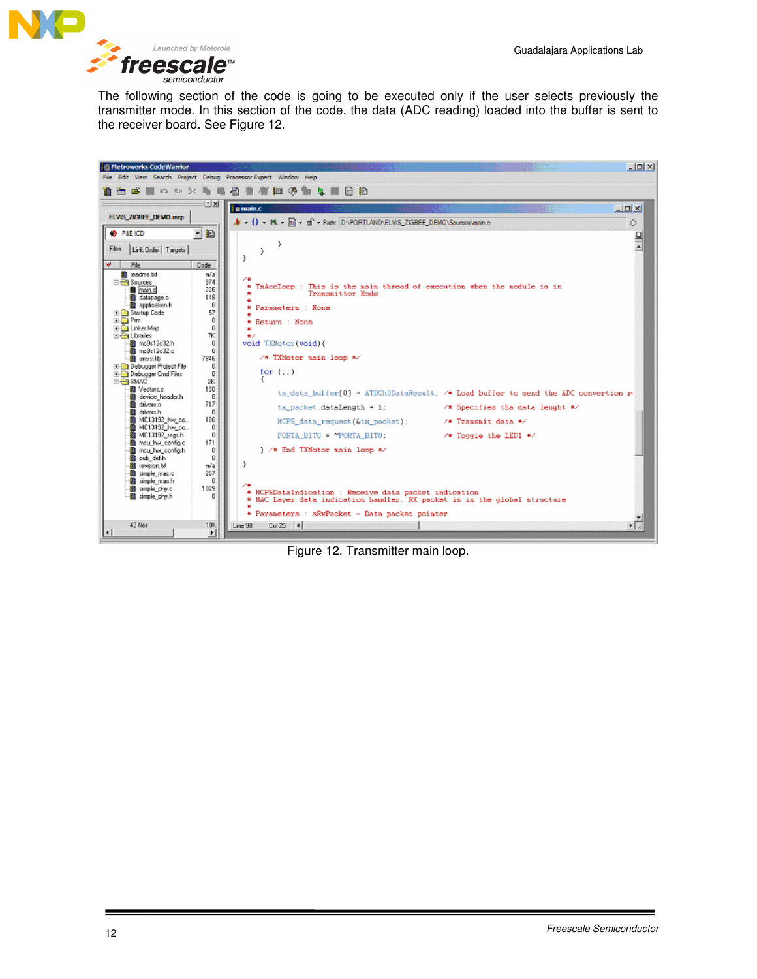

The following section of the code is going to be executed only if the user selects previously the transmitter mode. In this section of the code, the data (ADC reading) loaded into the buffer is sent to the receiver board. See Figure 12.



Figure 12. Transmitter main loop.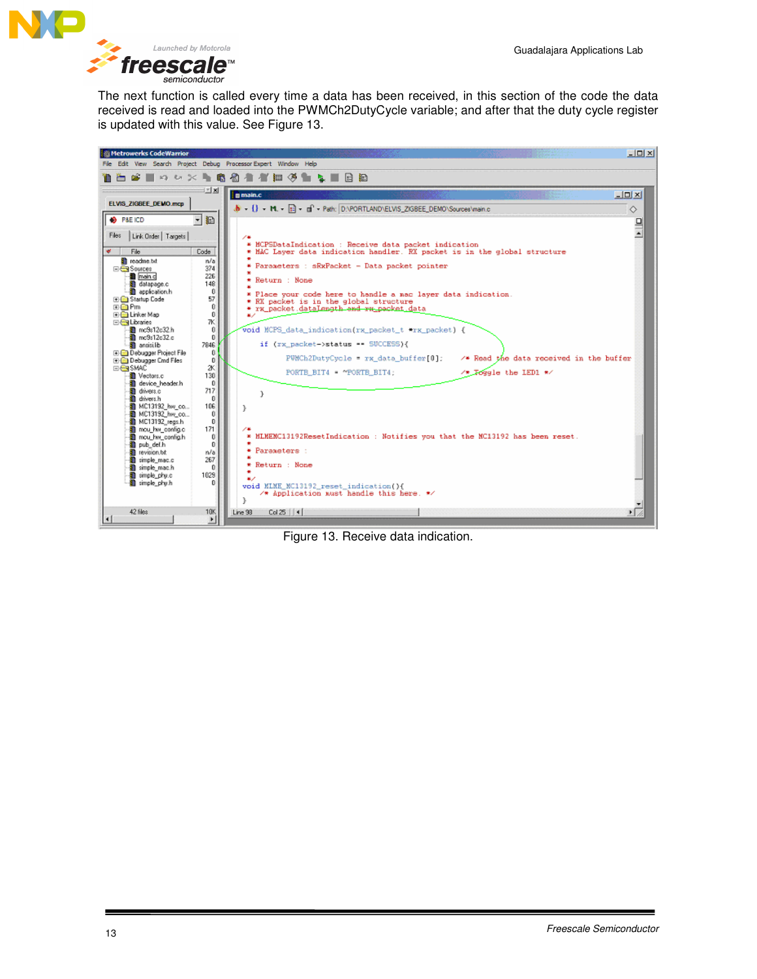

The next function is called every time a data has been received, in this section of the code the data received is read and loaded into the PWMCh2DutyCycle variable; and after that the duty cycle register is updated with this value. See Figure 13.



Figure 13. Receive data indication.